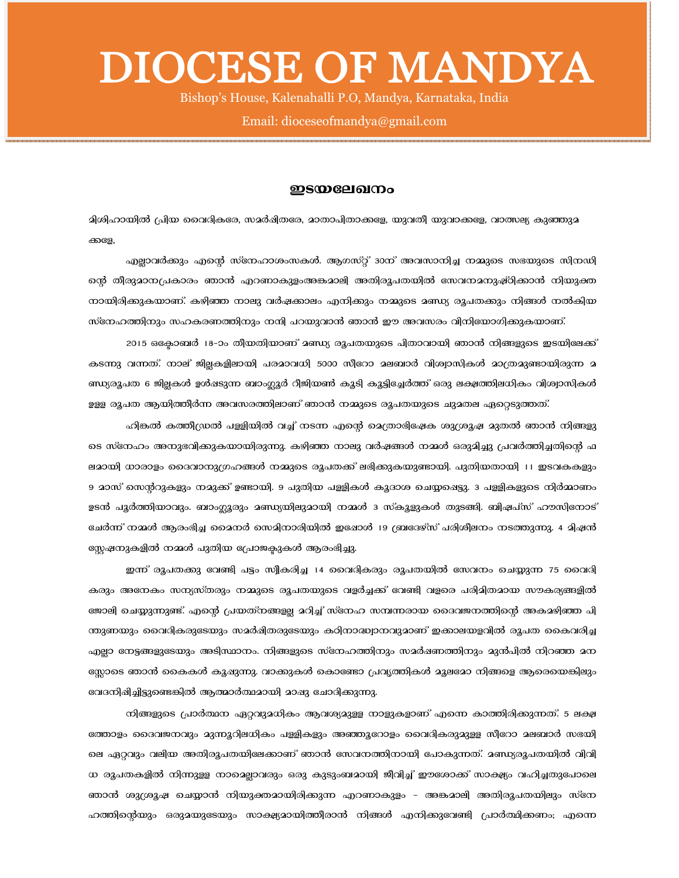## DIOCESE OF MANDYA

Bishop's House, Kalenahalli P.O, Mandya, Karnataka, India

## Email: dioceseofmandya@gmail.com

## ഇടയലേഖനം

മിശിഹായിൽ പ്രിയ വൈദികരേ, സമർഷിതരേ, മാതാപിതാക്കളേ, യുവതീ യുവാക്കളേ, വാത്സല്യ കുഞ്ഞുമ ക്കളേ,

എല്ലാവർക്കും എന്റെ സ്നേഹാശംസകൾ. ആഗസ്റ്റ് 30ന് അവസാനിച്ച നമ്മുടെ സഭയുടെ സിനഡി ന്റെ തീരുമാനപ്രകാരം ഞാൻ എറണാകുളംഅങ്കമാലി അതിരൂപതയിൽ സേവനമനുഷ്ഠിക്കാൻ നിയുക്ത നായിരിക്കുകയാണ്. കഴിഞ്ഞ നാലു വർഷക്കാലം എനിക്കും നമ്മുടെ മണ്ഡ്യ രൂപതക്കും നിങ്ങൾ നൽകിയ സ്നേഹത്തിനും സഹകരണത്തിനും നന്ദി പറയുവാൻ ഞാൻ ഈ അവസരം വിനിയോഗിക്കുകയാണ്.

2015 ഒക്കോബർ 18-ാം തീയതിയാണ് മണ്ഡ്യ രൂപതയുടെ പിതാവായി ഞാൻ നിങ്ങളുടെ ഇടയിലേക്ക് കടന്നു വന്നത്. നാല് ജില്ലകളിലായി പരമാവധി 5000 സീറോ മലബാർ വിശ്വാസികൾ മാത്രമുണ്ടായിരുന്ന മ ണ്ഡ്യരൂപത 6 ജില്ലകൾ ഉൾഷടുന്ന ബാംഗ്ലൂർ റീജിയൺ കൂടി കൂട്ടിച്ചേർത്ത് ഒരു ലക്ഷത്തിലധികം വിശ്വാസികൾ ഉള്ള രുപത ആയിത്തീർന്ന അവസരത്തിലാണ് ഞാൻ നമ്മുടെ രൂപതയുടെ ചുമതല ഏറ്റെടുത്തത്.

ഹിങ്കൽ കത്തീഡ്രൽ പള്ളിയിൽ വച്ച് നടന്ന എന്റെ മെത്രാഭിഷേക ശുശ്രൂഷ മുതൽ ഞാൻ നിങ്ങളു ടെ സ്നേഹം അനുഭവിക്കുകയായിരുന്നു. കഴിഞ്ഞ നാലു വർഷങ്ങൾ നമ്മൾ ഒരുമിച്ചു പ്രവർത്തിച്ചതിന്റെ ഫ ലമായി ധാരാളം ദൈവാനുഗ്രഹങ്ങൾ നമ്മുടെ രൂപതക്ക് ലഭിക്കുകയുണ്ടായി. പുതിയതായി 11 ഇടവകകളും 9 മാസ് സെന്ററുകളും നമുക്ക് ഉണ്ടായി. 9 പുതിയ പള്ളികൾ കൂദാശ ചെയ്യപ്പെട്ടു. 3 പള്ളികളുടെ നിർമ്മാണം ഉടൻ പൂർത്തിയാവും. ബാംഗ്ലൂരും മണ്ഡ്യയിലുമായി നമ്മൾ 3 സ്കൂളുകൾ തുടങ്ങി. ബിഷപ്സ് ഹൗസിനോട് ചേർന്ന് നമ്മൾ ആരംഭിച്ച മൈനർ സെമിനാരിയിൽ ഇഷോൾ 19 ബ്രദേഴ്സ് പരിശീലനം നടത്തുന്നു. 4 മിഷൻ സ്റ്റേഷനുകളിൽ നമ്മൾ പുതിയ പ്രോജക്ടുകൾ ആരംഭിച്ചു.

ഇന്ന് രൂപതക്കു വേണ്ടി പട്ടം സ്വീകരിച്ച 14 വൈദികരും രൂപതയിൽ സേവനം ചെയ്യുന്ന 75 വൈദി കരും അനേകം സന്യസ്തരും നമ്മുടെ രൂപതയുടെ വളർച്ചക്ക് വേണ്ടി വളരെ പരിമിതമായ സൗകര്യങ്ങളിൽ ജോലി ചെയ്യുന്നുണ്ട്. എന്റെ പ്രയത്നങ്ങളല്ല മറിച്ച് സ്നേഹ സമ്പന്നരായ ദൈവജനത്തിന്റെ അകമഴിഞ്ഞ പി ന്തുണയും വൈദികരുടേയും സമർഷിതരുടേയും കഠിനാദ്ധ്വാനവുമാണ് ഇക്കാലയളവിൽ രൂപത കൈവരിച്ച എല്ലാ നേട്ടങ്ങളുടേയും അടിസ്ഥാനം. നിങ്ങളുടെ സ്നേഹത്തിനും സമർഷണത്തിനും മുൻപിൽ നിറഞ്ഞ മന സ്സോടെ ഞാൻ കൈകൾ കൂഷുന്നു. വാക്കുകൾ കൊണ്ടോ പ്രവൃത്തികൾ മൂലമോ നിങ്ങളെ ആരെയെങ്കിലും വേദനിഷിച്ചിട്ടുണ്ടെങ്കിൽ ആത്മാർത്ഥമായി മാഷു ചോദിക്കുന്നു.

നിങ്ങളുടെ പ്രാർത്ഥന ഏറ്റവുമധികം ആവശ്യമുള്ള നാളുകളാണ് എന്നെ കാത്തിരിക്കുന്നത്. 5 ലക്ഷ ത്തോളം ദൈവജനവും മുന്നൂറിലധികം പള്ളികളും അഞ്ഞൂറോളം വൈദികരുമുള്ള സീറോ മലബാർ സഭയി ലെ ഏറ്റവും വലിയ അതിരൂപതയിലേക്കാണ് ഞാൻ സേവനത്തിനായി പോകുന്നത്. മണ്ഡ്യരൂപതയിൽ വിവി ധ രൂപതകളിൽ നിന്നുള്ള നാമ്മെല്ലാവരും ഒരു കുടുംബമായി ജീവിച്ച് ഈശോക്ക് സാക്ഷ്യം വഹിച്ചതുപോലെ ഞാൻ ശുശ്രൂഷ ചെയ്യാൻ നിയുക്തമായിരിക്കുന്ന എറണാകുളം - അങ്കമാലി അതിരൂപതയിലും സ്നേ ഹത്തിന്റെയും ഒരുമയുടേയും സാക്ഷ്യമായിത്തീരാൻ നിങ്ങൾ എനിക്കുവേണ്ടി പ്രാർത്ഥിക്കണം; എന്നെ